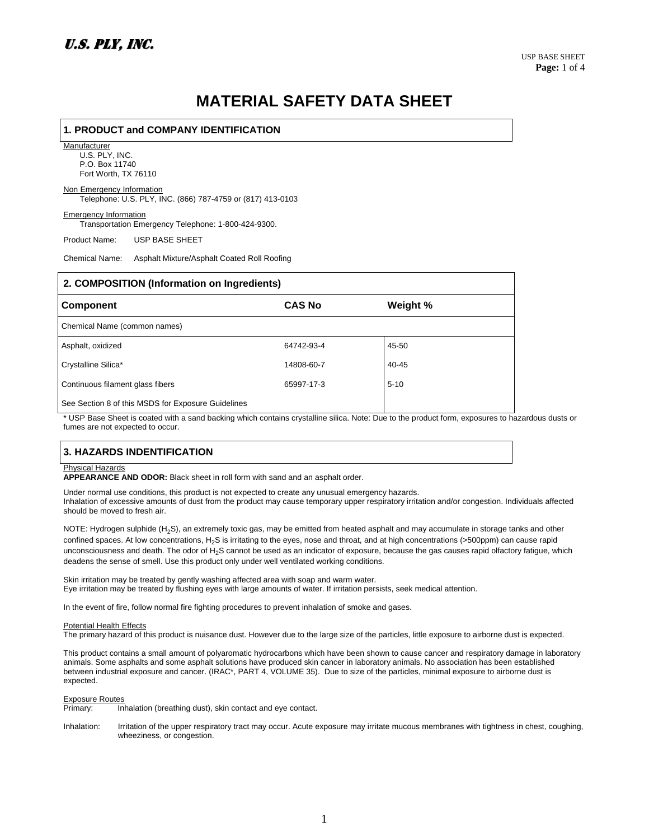# **MATERIAL SAFETY DATA SHEET**

## **1. PRODUCT and COMPANY IDENTIFICATION Manufacturer** U.S. PLY, INC.

P.O. Box 11740

Fort Worth, TX 76110

### Non Emergency Information

Telephone: U.S. PLY, INC. (866) 787-4759 or (817) 413-0103

Emergency Information Transportation Emergency Telephone: 1-800-424-9300.

Product Name: USP BASE SHEET

Chemical Name: Asphalt Mixture/Asphalt Coated Roll Roofing

| 2. COMPOSITION (Information on Ingredients)        |               |          |  |  |
|----------------------------------------------------|---------------|----------|--|--|
| <b>Component</b>                                   | <b>CAS No</b> | Weight % |  |  |
| Chemical Name (common names)                       |               |          |  |  |
| Asphalt, oxidized                                  | 64742-93-4    | 45-50    |  |  |
| Crystalline Silica*                                | 14808-60-7    | 40-45    |  |  |
| Continuous filament glass fibers                   | 65997-17-3    | $5 - 10$ |  |  |
| See Section 8 of this MSDS for Exposure Guidelines |               |          |  |  |

\* USP Base Sheet is coated with a sand backing which contains crystalline silica. Note: Due to the product form, exposures to hazardous dusts or fumes are not expected to occur.

## **3. HAZARDS INDENTIFICATION**

#### Physical Hazards

**APPEARANCE AND ODOR:** Black sheet in roll form with sand and an asphalt order.

Under normal use conditions, this product is not expected to create any unusual emergency hazards. Inhalation of excessive amounts of dust from the product may cause temporary upper respiratory irritation and/or congestion. Individuals affected should be moved to fresh air.

NOTE: Hydrogen sulphide (H<sub>2</sub>S), an extremely toxic gas, may be emitted from heated asphalt and may accumulate in storage tanks and other confined spaces. At low concentrations, H<sub>2</sub>S is irritating to the eyes, nose and throat, and at high concentrations (>500ppm) can cause rapid unconsciousness and death. The odor of H<sub>2</sub>S cannot be used as an indicator of exposure, because the gas causes rapid olfactory fatigue, which deadens the sense of smell. Use this product only under well ventilated working conditions.

Skin irritation may be treated by gently washing affected area with soap and warm water. Eye irritation may be treated by flushing eyes with large amounts of water. If irritation persists, seek medical attention.

In the event of fire, follow normal fire fighting procedures to prevent inhalation of smoke and gases.

#### **Potential Health Effects**

The primary hazard of this product is nuisance dust. However due to the large size of the particles, little exposure to airborne dust is expected.

This product contains a small amount of polyaromatic hydrocarbons which have been shown to cause cancer and respiratory damage in laboratory animals. Some asphalts and some asphalt solutions have produced skin cancer in laboratory animals. No association has been established between industrial exposure and cancer. (IRAC\*, PART 4, VOLUME 35). Due to size of the particles, minimal exposure to airborne dust is expected.

### Exposure Routes

Primary: Inhalation (breathing dust), skin contact and eye contact.

Inhalation: Irritation of the upper respiratory tract may occur. Acute exposure may irritate mucous membranes with tightness in chest, coughing, wheeziness, or congestion.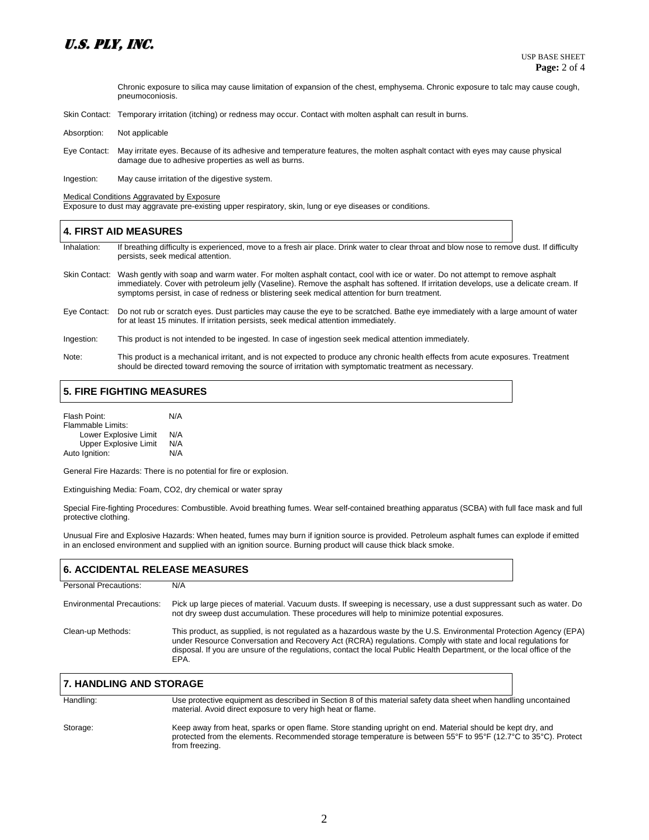# U.S. PLY, INC.

 Chronic exposure to silica may cause limitation of expansion of the chest, emphysema. Chronic exposure to talc may cause cough, pneumoconiosis.

- Skin Contact: Temporary irritation (itching) or redness may occur. Contact with molten asphalt can result in burns.
- Absorption: Not applicable
- Eye Contact: May irritate eyes. Because of its adhesive and temperature features, the molten asphalt contact with eyes may cause physical damage due to adhesive properties as well as burns.

Ingestion: May cause irritation of the digestive system.

Medical Conditions Aggravated by Exposure

Exposure to dust may aggravate pre-existing upper respiratory, skin, lung or eye diseases or conditions.

### **4. FIRST AID MEASURES**

Inhalation: If breathing difficulty is experienced, move to a fresh air place. Drink water to clear throat and blow nose to remove dust. If difficulty persists, seek medical attention.

- Skin Contact: Wash gently with soap and warm water. For molten asphalt contact, cool with ice or water. Do not attempt to remove asphalt immediately. Cover with petroleum jelly (Vaseline). Remove the asphalt has softened. If irritation develops, use a delicate cream. If symptoms persist, in case of redness or blistering seek medical attention for burn treatment.
- Eye Contact: Do not rub or scratch eyes. Dust particles may cause the eye to be scratched. Bathe eye immediately with a large amount of water for at least 15 minutes. If irritation persists, seek medical attention immediately.
- Ingestion: This product is not intended to be ingested. In case of ingestion seek medical attention immediately.
- Note: This product is a mechanical irritant, and is not expected to produce any chronic health effects from acute exposures. Treatment should be directed toward removing the source of irritation with symptomatic treatment as necessary.

### **5. FIRE FIGHTING MEASURES**

| Flash Point:                 | N/A |  |
|------------------------------|-----|--|
| Flammable Limits:            |     |  |
| Lower Explosive Limit        | N/A |  |
| <b>Upper Explosive Limit</b> | N/A |  |
| Auto Ignition:               | N/A |  |

General Fire Hazards: There is no potential for fire or explosion.

Extinguishing Media: Foam, CO2, dry chemical or water spray

Special Fire-fighting Procedures: Combustible. Avoid breathing fumes. Wear self-contained breathing apparatus (SCBA) with full face mask and full protective clothing.

Unusual Fire and Explosive Hazards: When heated, fumes may burn if ignition source is provided. Petroleum asphalt fumes can explode if emitted in an enclosed environment and supplied with an ignition source. Burning product will cause thick black smoke.

| <b>6. ACCIDENTAL RELEASE MEASURES</b> |                                                                                                                                                                                                                                                                                                                                                                      |  |
|---------------------------------------|----------------------------------------------------------------------------------------------------------------------------------------------------------------------------------------------------------------------------------------------------------------------------------------------------------------------------------------------------------------------|--|
| Personal Precautions:                 | N/A                                                                                                                                                                                                                                                                                                                                                                  |  |
| <b>Environmental Precautions:</b>     | Pick up large pieces of material. Vacuum dusts. If sweeping is necessary, use a dust suppressant such as water. Do<br>not dry sweep dust accumulation. These procedures will help to minimize potential exposures.                                                                                                                                                   |  |
| Clean-up Methods:                     | This product, as supplied, is not regulated as a hazardous waste by the U.S. Environmental Protection Agency (EPA)<br>under Resource Conversation and Recovery Act (RCRA) regulations. Comply with state and local regulations for<br>disposal. If you are unsure of the regulations, contact the local Public Health Department, or the local office of the<br>EPA. |  |

| <b>7. HANDLING AND STORAGE</b> |                                                                                                                                                                                                                                                |
|--------------------------------|------------------------------------------------------------------------------------------------------------------------------------------------------------------------------------------------------------------------------------------------|
| Handling:                      | Use protective equipment as described in Section 8 of this material safety data sheet when handling uncontained<br>material. Avoid direct exposure to very high heat or flame.                                                                 |
| Storage:                       | Keep away from heat, sparks or open flame. Store standing upright on end. Material should be kept dry, and<br>protected from the elements. Recommended storage temperature is between 55°F to 95°F (12.7°C to 35°C). Protect<br>from freezing. |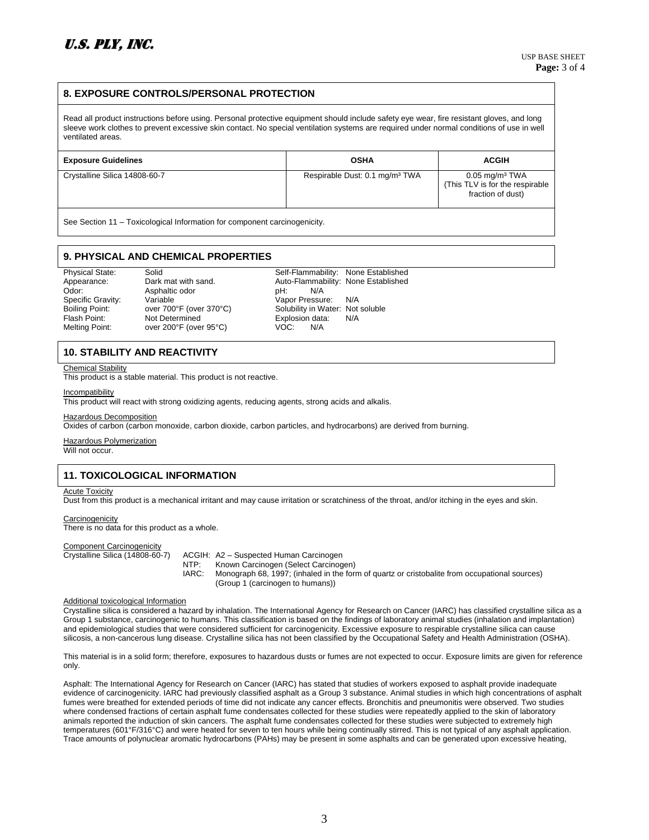### **8. EXPOSURE CONTROLS/PERSONAL PROTECTION**

Read all product instructions before using. Personal protective equipment should include safety eye wear, fire resistant gloves, and long sleeve work clothes to prevent excessive skin contact. No special ventilation systems are required under normal conditions of use in well ventilated areas.

| <b>Exposure Guidelines</b>    | <b>OSHA</b>                                | <b>ACGIH</b>                                                                         |  |  |  |
|-------------------------------|--------------------------------------------|--------------------------------------------------------------------------------------|--|--|--|
| Crystalline Silica 14808-60-7 | Respirable Dust: 0.1 mg/m <sup>3</sup> TWA | $0.05$ mg/m <sup>3</sup> TWA<br>(This TLV is for the respirable<br>fraction of dust) |  |  |  |
|                               |                                            |                                                                                      |  |  |  |

See Section 11 – Toxicological Information for component carcinogenicity.

## **9. PHYSICAL AND CHEMICAL PROPERTIES**

Odor: Asphaltic odor pH:<br>
Specific Gravity: Variable Capacitic Charles Control of Article Specific Gravity: Variable Vapor Pressure: N/A<br>
Boiling Point: over 700°F (over 370°C) Solubility in Water: Not over 200°F (over 95°C) VOC: N/A

Physical State: Solid School Self-Flammability: None Established Appearance: Dark mat with sand. Auto-Flammability: None Established<br>Odor: Asphaltic odor bH: N/A Solubility in Water: Not soluble Flash Point: Not Determined Communisty Replosion data: N/A<br>
Melting Point: over 200°F (over 95°C) VOC: N/A

### **10. STABILITY AND REACTIVITY**

#### Chemical Stability

This product is a stable material. This product is not reactive.

#### Incompatibility

This product will react with strong oxidizing agents, reducing agents, strong acids and alkalis.

#### Hazardous Decomposition

Oxides of carbon (carbon monoxide, carbon dioxide, carbon particles, and hydrocarbons) are derived from burning.

#### Hazardous Polymerization

Will not occur.

### **11. TOXICOLOGICAL INFORMATION**

#### Acute Toxicity

Dust from this product is a mechanical irritant and may cause irritation or scratchiness of the throat, and/or itching in the eyes and skin.

#### **Carcinogenicity** There is no data for this product as a whole.

Component Carcinogenicity

Crystalline Silica (14808-60-7) ACGIH: A2 – Suspected Human Carcinogen NTP: Known Carcinogen (Select Carcinogen)<br>IARC: Monograph 68, 1997; (inhaled in the form Monograph 68, 1997; (inhaled in the form of quartz or cristobalite from occupational sources) (Group 1 (carcinogen to humans))

#### Additional toxicological Information

Crystalline silica is considered a hazard by inhalation. The International Agency for Research on Cancer (IARC) has classified crystalline silica as a Group 1 substance, carcinogenic to humans. This classification is based on the findings of laboratory animal studies (inhalation and implantation) and epidemiological studies that were considered sufficient for carcinogenicity. Excessive exposure to respirable crystalline silica can cause silicosis, a non-cancerous lung disease. Crystalline silica has not been classified by the Occupational Safety and Health Administration (OSHA).

This material is in a solid form; therefore, exposures to hazardous dusts or fumes are not expected to occur. Exposure limits are given for reference only.

Asphalt: The International Agency for Research on Cancer (IARC) has stated that studies of workers exposed to asphalt provide inadequate evidence of carcinogenicity. IARC had previously classified asphalt as a Group 3 substance. Animal studies in which high concentrations of asphalt fumes were breathed for extended periods of time did not indicate any cancer effects. Bronchitis and pneumonitis were observed. Two studies where condensed fractions of certain asphalt fume condensates collected for these studies were repeatedly applied to the skin of laboratory animals reported the induction of skin cancers. The asphalt fume condensates collected for these studies were subjected to extremely high temperatures (601°F/316°C) and were heated for seven to ten hours while being continually stirred. This is not typical of any asphalt application. Trace amounts of polynuclear aromatic hydrocarbons (PAHs) may be present in some asphalts and can be generated upon excessive heating,